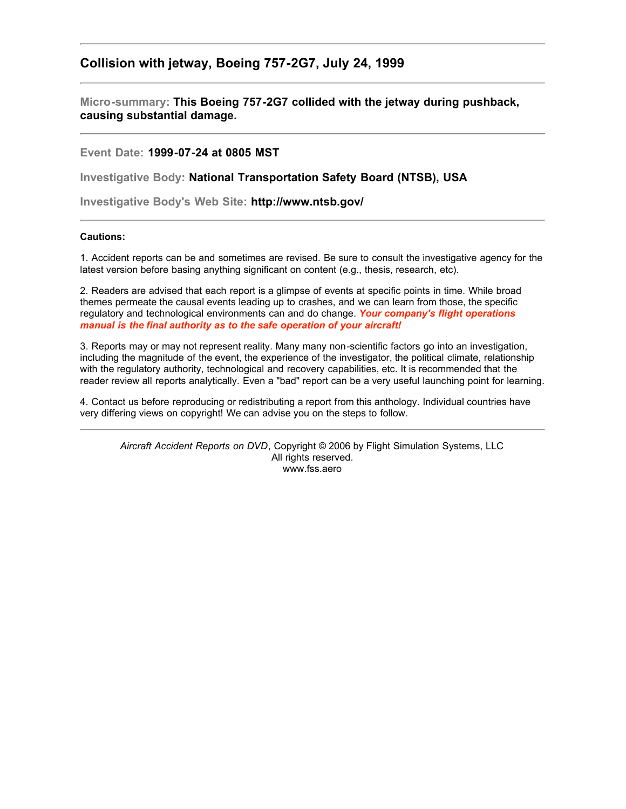## **Collision with jetway, Boeing 757-2G7, July 24, 1999**

**Micro-summary: This Boeing 757-2G7 collided with the jetway during pushback, causing substantial damage.**

**Event Date: 1999-07-24 at 0805 MST**

**Investigative Body: National Transportation Safety Board (NTSB), USA**

**Investigative Body's Web Site: http://www.ntsb.gov/**

## **Cautions:**

1. Accident reports can be and sometimes are revised. Be sure to consult the investigative agency for the latest version before basing anything significant on content (e.g., thesis, research, etc).

2. Readers are advised that each report is a glimpse of events at specific points in time. While broad themes permeate the causal events leading up to crashes, and we can learn from those, the specific regulatory and technological environments can and do change. *Your company's flight operations manual is the final authority as to the safe operation of your aircraft!*

3. Reports may or may not represent reality. Many many non-scientific factors go into an investigation, including the magnitude of the event, the experience of the investigator, the political climate, relationship with the regulatory authority, technological and recovery capabilities, etc. It is recommended that the reader review all reports analytically. Even a "bad" report can be a very useful launching point for learning.

4. Contact us before reproducing or redistributing a report from this anthology. Individual countries have very differing views on copyright! We can advise you on the steps to follow.

*Aircraft Accident Reports on DVD*, Copyright © 2006 by Flight Simulation Systems, LLC All rights reserved. www.fss.aero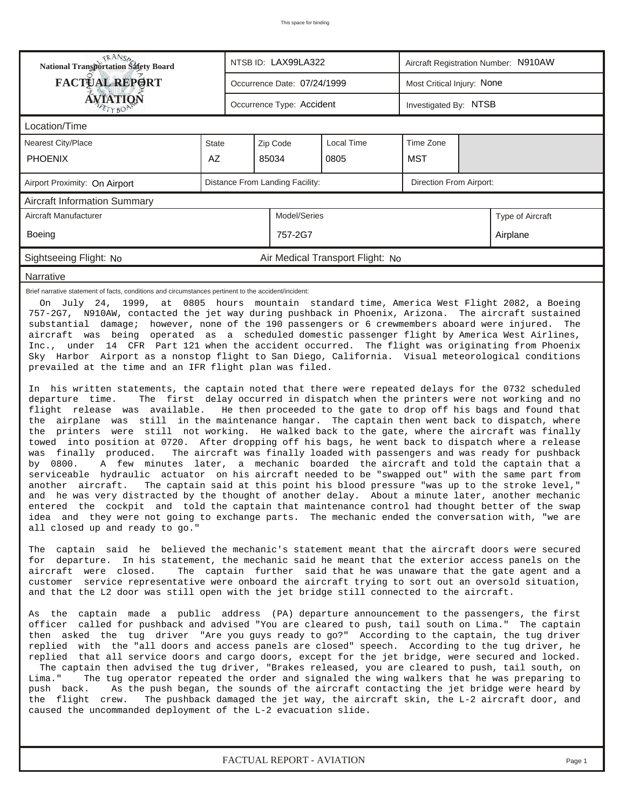| <b>National Transportation Safety Board</b>                                                                                                                                                                                                                                                                                                                                                                                                                                                                                                                                                                                                                                                                                                                                                                                                                                                                                                                                                                                                                                                                                                                                                                                                                                                                                                                                                                                                                                                                                                                                                                                                                                                                                                                                                                                                                                                                                                                                                                                                                                                                                                                                                                                                                                                                                                                                                                                                                                                                                                                                                                                                                                                                                                                                                                                                                                                                                                                                                                                                                                                                                                                                                                                                                                                                                                                                                                                                                                                                                                                                                                                                                                                                               |              |  | NTSB ID: LAX99LA322         |                                  | Aircraft Registration Number: N910AW |                            |                  |  |  |  |
|---------------------------------------------------------------------------------------------------------------------------------------------------------------------------------------------------------------------------------------------------------------------------------------------------------------------------------------------------------------------------------------------------------------------------------------------------------------------------------------------------------------------------------------------------------------------------------------------------------------------------------------------------------------------------------------------------------------------------------------------------------------------------------------------------------------------------------------------------------------------------------------------------------------------------------------------------------------------------------------------------------------------------------------------------------------------------------------------------------------------------------------------------------------------------------------------------------------------------------------------------------------------------------------------------------------------------------------------------------------------------------------------------------------------------------------------------------------------------------------------------------------------------------------------------------------------------------------------------------------------------------------------------------------------------------------------------------------------------------------------------------------------------------------------------------------------------------------------------------------------------------------------------------------------------------------------------------------------------------------------------------------------------------------------------------------------------------------------------------------------------------------------------------------------------------------------------------------------------------------------------------------------------------------------------------------------------------------------------------------------------------------------------------------------------------------------------------------------------------------------------------------------------------------------------------------------------------------------------------------------------------------------------------------------------------------------------------------------------------------------------------------------------------------------------------------------------------------------------------------------------------------------------------------------------------------------------------------------------------------------------------------------------------------------------------------------------------------------------------------------------------------------------------------------------------------------------------------------------------------------------------------------------------------------------------------------------------------------------------------------------------------------------------------------------------------------------------------------------------------------------------------------------------------------------------------------------------------------------------------------------------------------------------------------------------------------------------------------------|--------------|--|-----------------------------|----------------------------------|--------------------------------------|----------------------------|------------------|--|--|--|
| <b>FACTUAL REPORT</b>                                                                                                                                                                                                                                                                                                                                                                                                                                                                                                                                                                                                                                                                                                                                                                                                                                                                                                                                                                                                                                                                                                                                                                                                                                                                                                                                                                                                                                                                                                                                                                                                                                                                                                                                                                                                                                                                                                                                                                                                                                                                                                                                                                                                                                                                                                                                                                                                                                                                                                                                                                                                                                                                                                                                                                                                                                                                                                                                                                                                                                                                                                                                                                                                                                                                                                                                                                                                                                                                                                                                                                                                                                                                                                     |              |  | Occurrence Date: 07/24/1999 |                                  |                                      | Most Critical Injury: None |                  |  |  |  |
| ÁVIATIQN<br>TYBOP                                                                                                                                                                                                                                                                                                                                                                                                                                                                                                                                                                                                                                                                                                                                                                                                                                                                                                                                                                                                                                                                                                                                                                                                                                                                                                                                                                                                                                                                                                                                                                                                                                                                                                                                                                                                                                                                                                                                                                                                                                                                                                                                                                                                                                                                                                                                                                                                                                                                                                                                                                                                                                                                                                                                                                                                                                                                                                                                                                                                                                                                                                                                                                                                                                                                                                                                                                                                                                                                                                                                                                                                                                                                                                         |              |  | Occurrence Type: Accident   |                                  |                                      | Investigated By: NTSB      |                  |  |  |  |
| Location/Time                                                                                                                                                                                                                                                                                                                                                                                                                                                                                                                                                                                                                                                                                                                                                                                                                                                                                                                                                                                                                                                                                                                                                                                                                                                                                                                                                                                                                                                                                                                                                                                                                                                                                                                                                                                                                                                                                                                                                                                                                                                                                                                                                                                                                                                                                                                                                                                                                                                                                                                                                                                                                                                                                                                                                                                                                                                                                                                                                                                                                                                                                                                                                                                                                                                                                                                                                                                                                                                                                                                                                                                                                                                                                                             |              |  |                             |                                  |                                      |                            |                  |  |  |  |
| Nearest City/Place                                                                                                                                                                                                                                                                                                                                                                                                                                                                                                                                                                                                                                                                                                                                                                                                                                                                                                                                                                                                                                                                                                                                                                                                                                                                                                                                                                                                                                                                                                                                                                                                                                                                                                                                                                                                                                                                                                                                                                                                                                                                                                                                                                                                                                                                                                                                                                                                                                                                                                                                                                                                                                                                                                                                                                                                                                                                                                                                                                                                                                                                                                                                                                                                                                                                                                                                                                                                                                                                                                                                                                                                                                                                                                        | <b>State</b> |  | Zip Code                    | <b>Local Time</b>                | Time Zone                            |                            |                  |  |  |  |
| <b>PHOENIX</b>                                                                                                                                                                                                                                                                                                                                                                                                                                                                                                                                                                                                                                                                                                                                                                                                                                                                                                                                                                                                                                                                                                                                                                                                                                                                                                                                                                                                                                                                                                                                                                                                                                                                                                                                                                                                                                                                                                                                                                                                                                                                                                                                                                                                                                                                                                                                                                                                                                                                                                                                                                                                                                                                                                                                                                                                                                                                                                                                                                                                                                                                                                                                                                                                                                                                                                                                                                                                                                                                                                                                                                                                                                                                                                            | AZ           |  | 85034                       | 0805                             | <b>MST</b>                           |                            |                  |  |  |  |
| Distance From Landing Facility:<br>Direction From Airport:<br>Airport Proximity: On Airport                                                                                                                                                                                                                                                                                                                                                                                                                                                                                                                                                                                                                                                                                                                                                                                                                                                                                                                                                                                                                                                                                                                                                                                                                                                                                                                                                                                                                                                                                                                                                                                                                                                                                                                                                                                                                                                                                                                                                                                                                                                                                                                                                                                                                                                                                                                                                                                                                                                                                                                                                                                                                                                                                                                                                                                                                                                                                                                                                                                                                                                                                                                                                                                                                                                                                                                                                                                                                                                                                                                                                                                                                               |              |  |                             |                                  |                                      |                            |                  |  |  |  |
| <b>Aircraft Information Summary</b>                                                                                                                                                                                                                                                                                                                                                                                                                                                                                                                                                                                                                                                                                                                                                                                                                                                                                                                                                                                                                                                                                                                                                                                                                                                                                                                                                                                                                                                                                                                                                                                                                                                                                                                                                                                                                                                                                                                                                                                                                                                                                                                                                                                                                                                                                                                                                                                                                                                                                                                                                                                                                                                                                                                                                                                                                                                                                                                                                                                                                                                                                                                                                                                                                                                                                                                                                                                                                                                                                                                                                                                                                                                                                       |              |  |                             |                                  |                                      |                            |                  |  |  |  |
| Aircraft Manufacturer                                                                                                                                                                                                                                                                                                                                                                                                                                                                                                                                                                                                                                                                                                                                                                                                                                                                                                                                                                                                                                                                                                                                                                                                                                                                                                                                                                                                                                                                                                                                                                                                                                                                                                                                                                                                                                                                                                                                                                                                                                                                                                                                                                                                                                                                                                                                                                                                                                                                                                                                                                                                                                                                                                                                                                                                                                                                                                                                                                                                                                                                                                                                                                                                                                                                                                                                                                                                                                                                                                                                                                                                                                                                                                     |              |  | Model/Series                |                                  |                                      |                            | Type of Aircraft |  |  |  |
| <b>Boeing</b>                                                                                                                                                                                                                                                                                                                                                                                                                                                                                                                                                                                                                                                                                                                                                                                                                                                                                                                                                                                                                                                                                                                                                                                                                                                                                                                                                                                                                                                                                                                                                                                                                                                                                                                                                                                                                                                                                                                                                                                                                                                                                                                                                                                                                                                                                                                                                                                                                                                                                                                                                                                                                                                                                                                                                                                                                                                                                                                                                                                                                                                                                                                                                                                                                                                                                                                                                                                                                                                                                                                                                                                                                                                                                                             |              |  | 757-2G7                     |                                  |                                      |                            | Airplane         |  |  |  |
| Sightseeing Flight: No                                                                                                                                                                                                                                                                                                                                                                                                                                                                                                                                                                                                                                                                                                                                                                                                                                                                                                                                                                                                                                                                                                                                                                                                                                                                                                                                                                                                                                                                                                                                                                                                                                                                                                                                                                                                                                                                                                                                                                                                                                                                                                                                                                                                                                                                                                                                                                                                                                                                                                                                                                                                                                                                                                                                                                                                                                                                                                                                                                                                                                                                                                                                                                                                                                                                                                                                                                                                                                                                                                                                                                                                                                                                                                    |              |  |                             | Air Medical Transport Flight: No |                                      |                            |                  |  |  |  |
| Narrative                                                                                                                                                                                                                                                                                                                                                                                                                                                                                                                                                                                                                                                                                                                                                                                                                                                                                                                                                                                                                                                                                                                                                                                                                                                                                                                                                                                                                                                                                                                                                                                                                                                                                                                                                                                                                                                                                                                                                                                                                                                                                                                                                                                                                                                                                                                                                                                                                                                                                                                                                                                                                                                                                                                                                                                                                                                                                                                                                                                                                                                                                                                                                                                                                                                                                                                                                                                                                                                                                                                                                                                                                                                                                                                 |              |  |                             |                                  |                                      |                            |                  |  |  |  |
| Brief narrative statement of facts, conditions and circumstances pertinent to the accident/incident:<br>On July 24, 1999, at 0805 hours mountain standard time, America West Flight 2082, a Boeing<br>757-2G7, N910AW, contacted the jet way during pushback in Phoenix, Arizona. The aircraft sustained<br>substantial damage; however, none of the 190 passengers or 6 crewmembers aboard were injured.<br>The<br>aircraft was being operated as a scheduled domestic passenger flight by America West Airlines,<br>Inc., under 14 CFR Part 121 when the accident occurred. The flight was originating from Phoenix<br>Sky Harbor Airport as a nonstop flight to San Diego, California. Visual meteorological conditions<br>prevailed at the time and an IFR flight plan was filed.<br>In his written statements, the captain noted that there were repeated delays for the 0732 scheduled<br>The first delay occurred in dispatch when the printers were not working and no<br>departure time.<br>flight release was available. He then proceeded to the gate to drop off his bags and found that<br>the airplane was still in the maintenance hangar. The captain then went back to dispatch, where<br>the printers were still not working. He walked back to the gate, where the aircraft was finally<br>towed into position at 0720. After dropping off his bags, he went back to dispatch where a release<br>was finally produced.<br>The aircraft was finally loaded with passengers and was ready for pushback<br>A few minutes later, a mechanic boarded the aircraft and told the captain that a<br>by 0800.<br>serviceable hydraulic actuator on his aircraft needed to be "swapped out" with the same part from<br>another aircraft.<br>The captain said at this point his blood pressure "was up to the stroke level,"<br>and he was very distracted by the thought of another delay. About a minute later, another mechanic<br>entered the cockpit and told the captain that maintenance control had thought better of the swap<br>idea and they were not going to exchange parts. The mechanic ended the conversation with, "we are<br>all closed up and ready to go."<br>The captain said he believed the mechanic's statement meant that the aircraft doors were secured<br>for departure. In his statement, the mechanic said he meant that the exterior access panels on the<br>aircraft were closed.<br>The captain further said that he was unaware that the gate agent and a<br>customer service representative were onboard the aircraft trying to sort out an oversold situation,<br>and that the L2 door was still open with the jet bridge still connected to the aircraft.<br>As the captain made a public address (PA) departure announcement to the passengers, the first<br>officer called for pushback and advised "You are cleared to push, tail south on Lima." The captain<br>then asked the tug driver "Are you guys ready to go?" According to the captain, the tug driver<br>replied with the "all doors and access panels are closed" speech. According to the tug driver, he<br>replied that all service doors and cargo doors, except for the jet bridge, were secured and locked.<br>The captain then advised the tug driver, "Brakes released, you are cleared to push, tail south, on<br>The tug operator repeated the order and signaled the wing walkers that he was preparing to<br>Lima."<br>As the push began, the sounds of the aircraft contacting the jet bridge were heard by<br>push back.<br>The pushback damaged the jet way, the aircraft skin, the L-2 aircraft door, and<br>the flight crew.<br>caused the uncommanded deployment of the L-2 evacuation slide. |              |  |                             |                                  |                                      |                            |                  |  |  |  |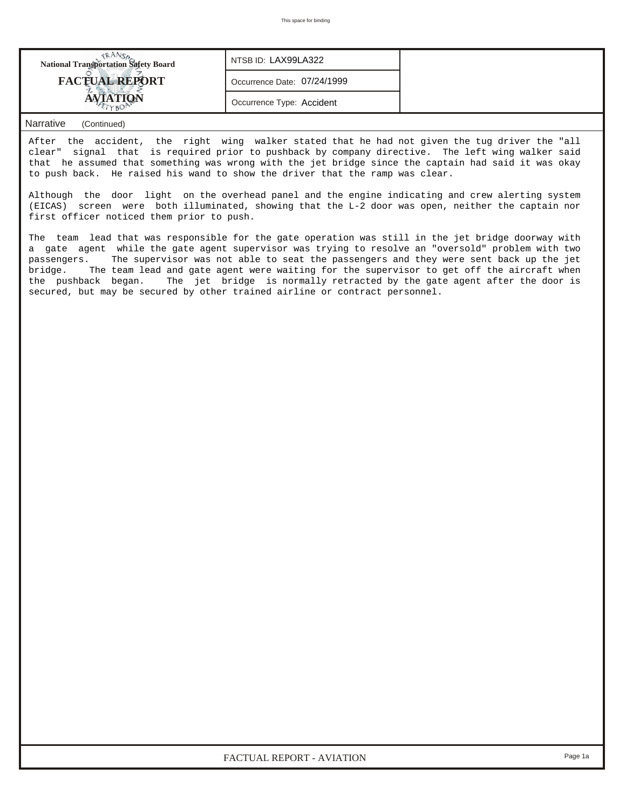| <b>National Transportation Safety Board</b> | NTSB ID: LAX99LA322         |  |
|---------------------------------------------|-----------------------------|--|
| <b>FACTUAL REPORT</b>                       | Occurrence Date: 07/24/1999 |  |
|                                             | Occurrence Type: Accident   |  |

## *Narrative (Continued)*

After the accident, the right wing walker stated that he had not given the tug driver the "all clear" signal that is required prior to pushback by company directive. The left wing walker said that he assumed that something was wrong with the jet bridge since the captain had said it was okay to push back. He raised his wand to show the driver that the ramp was clear.

Although the door light on the overhead panel and the engine indicating and crew alerting system (EICAS) screen were both illuminated, showing that the L-2 door was open, neither the captain nor first officer noticed them prior to push.

The team lead that was responsible for the gate operation was still in the jet bridge doorway with a gate agent while the gate agent supervisor was trying to resolve an "oversold" problem with two passengers. The supervisor was not able to seat the passengers and they were sent back up the jet bridge. The team lead and gate agent were waiting for the supervisor to get off the aircraft when the pushback began. The jet bridge is normally retracted by the gate agent after the door is secured, but may be secured by other trained airline or contract personnel.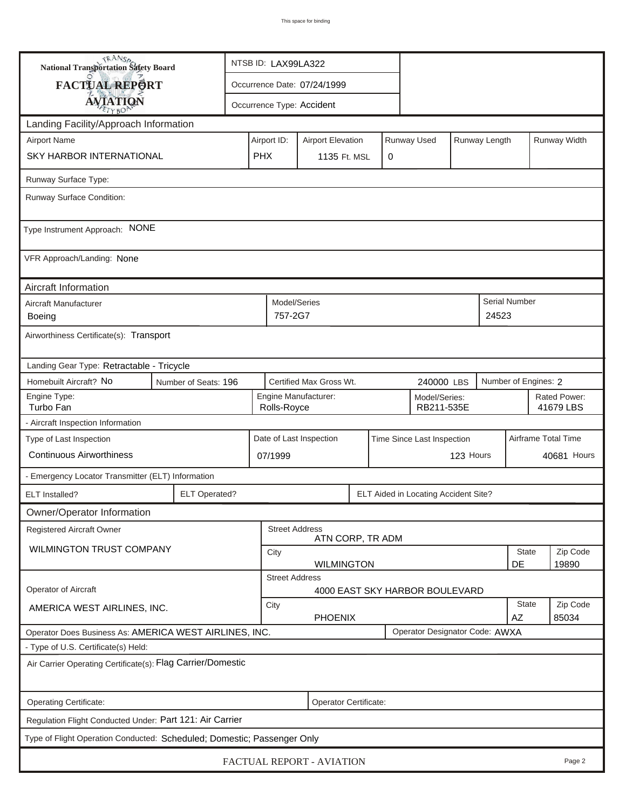| <b>National Transportation Safety Board</b>                                              |                                                                    | NTSB ID: LAX99LA322                                                     |                         |                  |                                    |                                      |                           |                     |                      |             |  |
|------------------------------------------------------------------------------------------|--------------------------------------------------------------------|-------------------------------------------------------------------------|-------------------------|------------------|------------------------------------|--------------------------------------|---------------------------|---------------------|----------------------|-------------|--|
| FACTUAL REPORT                                                                           |                                                                    | Occurrence Date: 07/24/1999                                             |                         |                  |                                    |                                      |                           |                     |                      |             |  |
| <b>AVIATION</b>                                                                          |                                                                    | Occurrence Type: Accident                                               |                         |                  |                                    |                                      |                           |                     |                      |             |  |
| Landing Facility/Approach Information                                                    |                                                                    |                                                                         |                         |                  |                                    |                                      |                           |                     |                      |             |  |
| <b>Airport Name</b>                                                                      |                                                                    | Runway Used<br>Runway Length<br>Airport ID:<br><b>Airport Elevation</b> |                         |                  |                                    |                                      |                           |                     | Runway Width         |             |  |
| SKY HARBOR INTERNATIONAL                                                                 | <b>PHX</b>                                                         |                                                                         | 1135 Ft. MSL            | 0                |                                    |                                      |                           |                     |                      |             |  |
| Runway Surface Type:                                                                     |                                                                    |                                                                         |                         |                  |                                    |                                      |                           |                     |                      |             |  |
| Runway Surface Condition:                                                                |                                                                    |                                                                         |                         |                  |                                    |                                      |                           |                     |                      |             |  |
| Type Instrument Approach: NONE                                                           |                                                                    |                                                                         |                         |                  |                                    |                                      |                           |                     |                      |             |  |
| VFR Approach/Landing: None                                                               |                                                                    |                                                                         |                         |                  |                                    |                                      |                           |                     |                      |             |  |
| Aircraft Information                                                                     |                                                                    |                                                                         |                         |                  |                                    |                                      |                           |                     |                      |             |  |
| Aircraft Manufacturer<br>Boeing                                                          |                                                                    |                                                                         | Model/Series<br>757-2G7 |                  |                                    |                                      |                           | 24523               | <b>Serial Number</b> |             |  |
| Airworthiness Certificate(s): Transport                                                  |                                                                    |                                                                         |                         |                  |                                    |                                      |                           |                     |                      |             |  |
| Landing Gear Type: Retractable - Tricycle                                                |                                                                    |                                                                         |                         |                  |                                    |                                      |                           |                     |                      |             |  |
| Homebuilt Aircraft? No<br>Number of Seats: 196                                           |                                                                    |                                                                         | Certified Max Gross Wt. |                  | Number of Engines: 2<br>240000 LBS |                                      |                           |                     |                      |             |  |
| Engine Type:<br>Turbo Fan                                                                | Engine Manufacturer:<br>Model/Series:<br>RB211-535E<br>Rolls-Royce |                                                                         |                         |                  |                                    |                                      | Rated Power:<br>41679 LBS |                     |                      |             |  |
| - Aircraft Inspection Information                                                        |                                                                    |                                                                         |                         |                  |                                    |                                      |                           |                     |                      |             |  |
| Type of Last Inspection                                                                  |                                                                    |                                                                         | Date of Last Inspection |                  | Time Since Last Inspection         |                                      |                           | Airframe Total Time |                      |             |  |
| <b>Continuous Airworthiness</b>                                                          |                                                                    | 07/1999                                                                 |                         |                  |                                    |                                      | 123 Hours                 |                     |                      | 40681 Hours |  |
| - Emergency Locator Transmitter (ELT) Information                                        |                                                                    |                                                                         |                         |                  |                                    |                                      |                           |                     |                      |             |  |
| <b>ELT</b> Installed?                                                                    | <b>ELT Operated?</b>                                               |                                                                         |                         |                  |                                    | ELT Aided in Locating Accident Site? |                           |                     |                      |             |  |
| Owner/Operator Information                                                               |                                                                    |                                                                         |                         |                  |                                    |                                      |                           |                     |                      |             |  |
| <b>Registered Aircraft Owner</b>                                                         |                                                                    |                                                                         | <b>Street Address</b>   | ATN CORP, TR ADM |                                    |                                      |                           |                     |                      |             |  |
| WILMINGTON TRUST COMPANY                                                                 |                                                                    | City                                                                    |                         |                  |                                    |                                      |                           |                     | <b>State</b>         | Zip Code    |  |
|                                                                                          |                                                                    | DE<br>19890<br><b>WILMINGTON</b><br><b>Street Address</b>               |                         |                  |                                    |                                      |                           |                     |                      |             |  |
| <b>Operator of Aircraft</b>                                                              |                                                                    |                                                                         |                         |                  |                                    | 4000 EAST SKY HARBOR BOULEVARD       |                           |                     |                      |             |  |
| AMERICA WEST AIRLINES, INC.                                                              | City<br><b>PHOENIX</b>                                             |                                                                         |                         |                  |                                    |                                      | State<br>AZ               | Zip Code<br>85034   |                      |             |  |
| Operator Designator Code: AWXA<br>Operator Does Business As: AMERICA WEST AIRLINES, INC. |                                                                    |                                                                         |                         |                  |                                    |                                      |                           |                     |                      |             |  |
| - Type of U.S. Certificate(s) Held:                                                      |                                                                    |                                                                         |                         |                  |                                    |                                      |                           |                     |                      |             |  |
| Air Carrier Operating Certificate(s): Flag Carrier/Domestic                              |                                                                    |                                                                         |                         |                  |                                    |                                      |                           |                     |                      |             |  |
| Operating Certificate:<br>Operator Certificate:                                          |                                                                    |                                                                         |                         |                  |                                    |                                      |                           |                     |                      |             |  |
| Regulation Flight Conducted Under: Part 121: Air Carrier                                 |                                                                    |                                                                         |                         |                  |                                    |                                      |                           |                     |                      |             |  |
| Type of Flight Operation Conducted: Scheduled; Domestic; Passenger Only                  |                                                                    |                                                                         |                         |                  |                                    |                                      |                           |                     |                      |             |  |
| FACTUAL REPORT - AVIATION<br>Page 2                                                      |                                                                    |                                                                         |                         |                  |                                    |                                      |                           |                     |                      |             |  |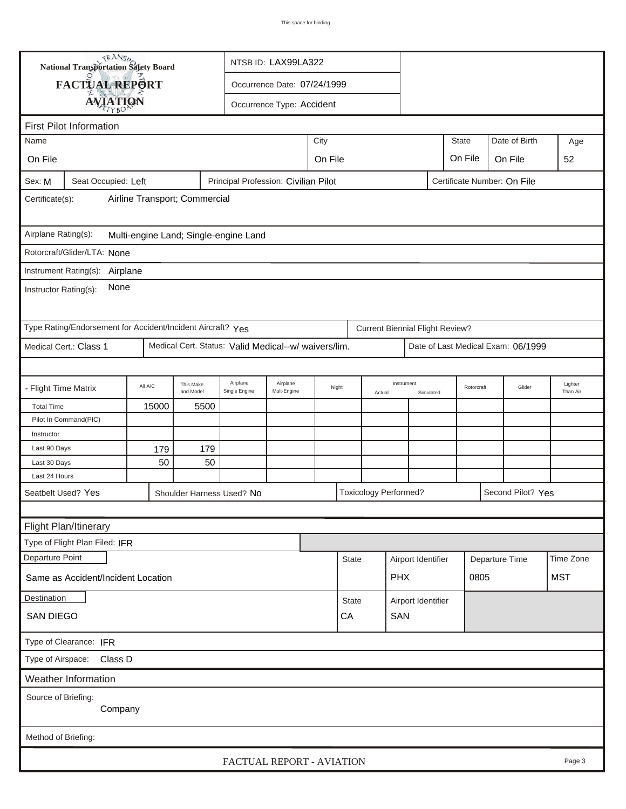|                                                                                                      | <b>National Transportation Safety Board</b>                 |           | NTSB ID: LAX99LA322    |                                                      |                               |       |                                    |                               |                                        |           |                                    |        |                   |                     |
|------------------------------------------------------------------------------------------------------|-------------------------------------------------------------|-----------|------------------------|------------------------------------------------------|-------------------------------|-------|------------------------------------|-------------------------------|----------------------------------------|-----------|------------------------------------|--------|-------------------|---------------------|
|                                                                                                      | FACTUAL REPORT                                              |           |                        |                                                      | Occurrence Date: 07/24/1999   |       |                                    |                               |                                        |           |                                    |        |                   |                     |
|                                                                                                      |                                                             |           |                        |                                                      |                               |       |                                    |                               |                                        |           |                                    |        |                   |                     |
|                                                                                                      | <b>AVIATION</b>                                             |           |                        |                                                      | Occurrence Type: Accident     |       |                                    |                               |                                        |           |                                    |        |                   |                     |
|                                                                                                      | <b>First Pilot Information</b>                              |           |                        |                                                      |                               |       |                                    |                               |                                        |           |                                    |        |                   | Age                 |
| City<br>Name                                                                                         |                                                             |           |                        |                                                      |                               |       |                                    | <b>State</b><br>Date of Birth |                                        |           |                                    |        |                   |                     |
| On File                                                                                              |                                                             |           |                        |                                                      | On File<br>On File<br>On File |       |                                    |                               |                                        |           |                                    |        |                   | 52                  |
| Principal Profession: Civilian Pilot<br>Sex: M<br>Seat Occupied: Left<br>Certificate Number: On File |                                                             |           |                        |                                                      |                               |       |                                    |                               |                                        |           |                                    |        |                   |                     |
| Airline Transport; Commercial<br>Certificate(s):                                                     |                                                             |           |                        |                                                      |                               |       |                                    |                               |                                        |           |                                    |        |                   |                     |
| Airplane Rating(s):<br>Multi-engine Land; Single-engine Land                                         |                                                             |           |                        |                                                      |                               |       |                                    |                               |                                        |           |                                    |        |                   |                     |
|                                                                                                      | Rotorcraft/Glider/LTA: None                                 |           |                        |                                                      |                               |       |                                    |                               |                                        |           |                                    |        |                   |                     |
|                                                                                                      |                                                             |           |                        |                                                      |                               |       |                                    |                               |                                        |           |                                    |        |                   |                     |
| Instrument Rating(s):<br>Airplane<br>None<br>Instructor Rating(s):                                   |                                                             |           |                        |                                                      |                               |       |                                    |                               |                                        |           |                                    |        |                   |                     |
|                                                                                                      | Type Rating/Endorsement for Accident/Incident Aircraft? Yes |           |                        |                                                      |                               |       |                                    |                               | <b>Current Biennial Flight Review?</b> |           |                                    |        |                   |                     |
|                                                                                                      | Medical Cert.: Class 1                                      |           |                        | Medical Cert. Status: Valid Medical--w/ waivers/lim. |                               |       |                                    |                               |                                        |           | Date of Last Medical Exam: 06/1999 |        |                   |                     |
|                                                                                                      |                                                             |           |                        |                                                      |                               |       |                                    |                               |                                        |           |                                    |        |                   |                     |
| - Flight Time Matrix                                                                                 |                                                             | All A/C   | This Make<br>and Model | Airplane<br>Single Engine                            | Airplane<br>Mult-Engine       | Night |                                    | Instrument<br>Actual          |                                        | Simulated | Rotorcraft                         | Glider |                   | Lighter<br>Than Air |
| <b>Total Time</b>                                                                                    |                                                             | 15000     | 5500                   |                                                      |                               |       |                                    |                               |                                        |           |                                    |        |                   |                     |
|                                                                                                      | Pilot In Command(PIC)                                       |           |                        |                                                      |                               |       |                                    |                               |                                        |           |                                    |        |                   |                     |
| Instructor                                                                                           |                                                             |           |                        |                                                      |                               |       |                                    |                               |                                        |           |                                    |        |                   |                     |
| Last 90 Days                                                                                         |                                                             | 179<br>50 | 179<br>50              |                                                      |                               |       |                                    |                               |                                        |           |                                    |        |                   |                     |
| Last 30 Days<br>Last 24 Hours                                                                        |                                                             |           |                        |                                                      |                               |       |                                    |                               |                                        |           |                                    |        |                   |                     |
|                                                                                                      | Seatbelt Used? Yes                                          |           |                        | Shoulder Harness Used? No                            |                               |       |                                    |                               | <b>Toxicology Performed?</b>           |           |                                    |        | Second Pilot? Yes |                     |
|                                                                                                      |                                                             |           |                        |                                                      |                               |       |                                    |                               |                                        |           |                                    |        |                   |                     |
|                                                                                                      | Flight Plan/Itinerary                                       |           |                        |                                                      |                               |       |                                    |                               |                                        |           |                                    |        |                   |                     |
|                                                                                                      | Type of Flight Plan Filed: IFR                              |           |                        |                                                      |                               |       |                                    |                               |                                        |           |                                    |        |                   |                     |
| Departure Point                                                                                      |                                                             |           |                        |                                                      |                               |       | <b>State</b>                       |                               |                                        |           |                                    |        |                   | Time Zone           |
|                                                                                                      | Same as Accident/Incident Location                          |           |                        |                                                      |                               |       |                                    |                               | Airport Identifier<br><b>PHX</b>       |           | Departure Time<br>0805             |        |                   | <b>MST</b>          |
|                                                                                                      |                                                             |           |                        |                                                      |                               |       |                                    |                               |                                        |           |                                    |        |                   |                     |
| Destination                                                                                          |                                                             |           |                        |                                                      |                               |       | <b>State</b><br>Airport Identifier |                               |                                        |           |                                    |        |                   |                     |
| CA<br>SAN<br><b>SAN DIEGO</b>                                                                        |                                                             |           |                        |                                                      |                               |       |                                    |                               |                                        |           |                                    |        |                   |                     |
| Type of Clearance: IFR                                                                               |                                                             |           |                        |                                                      |                               |       |                                    |                               |                                        |           |                                    |        |                   |                     |
| Class D<br>Type of Airspace:                                                                         |                                                             |           |                        |                                                      |                               |       |                                    |                               |                                        |           |                                    |        |                   |                     |
|                                                                                                      | Weather Information                                         |           |                        |                                                      |                               |       |                                    |                               |                                        |           |                                    |        |                   |                     |
| Source of Briefing:<br>Company                                                                       |                                                             |           |                        |                                                      |                               |       |                                    |                               |                                        |           |                                    |        |                   |                     |
| Method of Briefing:                                                                                  |                                                             |           |                        |                                                      |                               |       |                                    |                               |                                        |           |                                    |        |                   |                     |
|                                                                                                      |                                                             |           |                        |                                                      |                               |       |                                    |                               |                                        |           |                                    |        |                   |                     |
|                                                                                                      |                                                             |           |                        | FACTUAL REPORT - AVIATION                            |                               |       |                                    |                               |                                        |           |                                    |        |                   | Page 3              |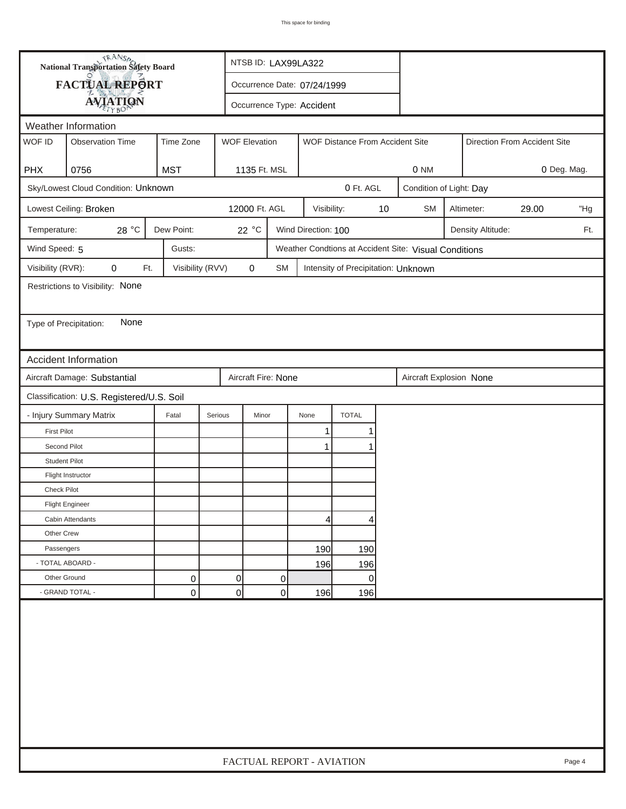| <b>National Transportation Safety Board</b> |                                           |                                              |         |                             | NTSB ID: LAX99LA322 |                                                       |    |                                  |                         |  |  |        |
|---------------------------------------------|-------------------------------------------|----------------------------------------------|---------|-----------------------------|---------------------|-------------------------------------------------------|----|----------------------------------|-------------------------|--|--|--------|
| FACTUAL REPORT                              |                                           |                                              |         | Occurrence Date: 07/24/1999 |                     |                                                       |    |                                  |                         |  |  |        |
|                                             |                                           | <b>AVIATION</b><br>Occurrence Type: Accident |         |                             |                     |                                                       |    |                                  |                         |  |  |        |
|                                             | Weather Information                       |                                              |         |                             |                     |                                                       |    |                                  |                         |  |  |        |
| WOF ID                                      | <b>Observation Time</b>                   | Time Zone                                    |         | <b>WOF Elevation</b>        |                     | WOF Distance From Accident Site                       |    | Direction From Accident Site     |                         |  |  |        |
| <b>PHX</b>                                  | 0756                                      | <b>MST</b>                                   |         | 1135 Ft. MSL                |                     |                                                       |    | 0 Deg. Mag.<br>0 NM              |                         |  |  |        |
|                                             | Sky/Lowest Cloud Condition: Unknown       |                                              |         |                             |                     | 0 Ft. AGL                                             |    |                                  | Condition of Light: Day |  |  |        |
|                                             | Lowest Ceiling: Broken                    |                                              |         | 12000 Ft. AGL               | Visibility:         |                                                       | 10 | <b>SM</b><br>29.00<br>Altimeter: |                         |  |  | "Hg    |
| Temperature:                                | 28 $^{\circ} \text{C}$                    | Dew Point:                                   |         | 22 °C                       | Wind Direction: 100 |                                                       |    | Density Altitude:<br>Ft.         |                         |  |  |        |
| Wind Speed: 5                               |                                           | Gusts:                                       |         |                             |                     | Weather Condtions at Accident Site: Visual Conditions |    |                                  |                         |  |  |        |
| Visibility (RVR):                           | 0<br>Ft.                                  | Visibility (RVV)                             |         | $\mathbf 0$<br><b>SM</b>    |                     | Intensity of Precipitation: Unknown                   |    |                                  |                         |  |  |        |
|                                             | Restrictions to Visibility: None          |                                              |         |                             |                     |                                                       |    |                                  |                         |  |  |        |
|                                             |                                           |                                              |         |                             |                     |                                                       |    |                                  |                         |  |  |        |
| Type of Precipitation:                      | None                                      |                                              |         |                             |                     |                                                       |    |                                  |                         |  |  |        |
|                                             |                                           |                                              |         |                             |                     |                                                       |    |                                  |                         |  |  |        |
|                                             | <b>Accident Information</b>               |                                              |         |                             |                     |                                                       |    |                                  |                         |  |  |        |
|                                             | Aircraft Damage: Substantial              |                                              |         | Aircraft Fire: None         |                     |                                                       |    | Aircraft Explosion None          |                         |  |  |        |
|                                             | Classification: U.S. Registered/U.S. Soil |                                              |         |                             |                     |                                                       |    |                                  |                         |  |  |        |
|                                             | - Injury Summary Matrix                   | Fatal                                        | Serious | Minor                       | None                | <b>TOTAL</b>                                          |    |                                  |                         |  |  |        |
| <b>First Pilot</b>                          |                                           |                                              |         |                             | 1                   |                                                       |    |                                  |                         |  |  |        |
| Second Pilot                                |                                           |                                              |         |                             | $\mathbf{1}$        |                                                       |    |                                  |                         |  |  |        |
| <b>Student Pilot</b>                        |                                           |                                              |         |                             |                     |                                                       |    |                                  |                         |  |  |        |
|                                             | Flight Instructor                         |                                              |         |                             |                     |                                                       |    |                                  |                         |  |  |        |
| Check Pilot                                 |                                           |                                              |         |                             |                     |                                                       |    |                                  |                         |  |  |        |
|                                             | <b>Flight Engineer</b>                    |                                              |         |                             |                     |                                                       |    |                                  |                         |  |  |        |
|                                             | Cabin Attendants                          |                                              |         |                             | 4                   | 4                                                     |    |                                  |                         |  |  |        |
| Other Crew                                  |                                           |                                              |         |                             |                     |                                                       |    |                                  |                         |  |  |        |
| Passengers                                  |                                           |                                              |         |                             | 190                 | 190                                                   |    |                                  |                         |  |  |        |
| - TOTAL ABOARD -                            |                                           |                                              |         |                             | 196                 | 196                                                   |    |                                  |                         |  |  |        |
| Other Ground                                |                                           | 0                                            | 0       | 0                           |                     | 0                                                     |    |                                  |                         |  |  |        |
|                                             | - GRAND TOTAL -                           | 0                                            | 0       | 0                           | 196                 | 196                                                   |    |                                  |                         |  |  |        |
|                                             |                                           |                                              |         |                             |                     |                                                       |    |                                  |                         |  |  |        |
|                                             |                                           |                                              |         | FACTUAL REPORT - AVIATION   |                     |                                                       |    |                                  |                         |  |  | Page 4 |